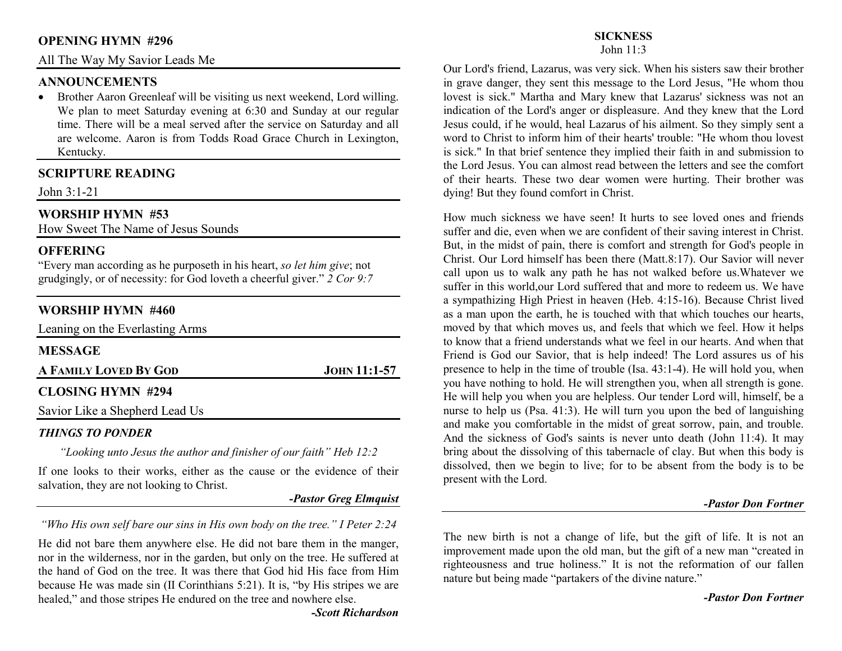### **OPENING HYMN #296**

All The Way My Savior Leads Me

### **ANNOUNCEMENTS**

 Brother Aaron Greenleaf will be visiting us next weekend, Lord willing. •We plan to meet Saturday evening at 6:30 and Sunday at our regular time. There will be a meal served after the service on Saturday and all are welcome. Aaron is from Todds Road Grace Church in Lexington, Kentucky.

# **SCRIPTURE READING**

John 3:1-21

# **WORSHIP HYMN #53**

How Sweet The Name of Jesus Sounds

### **OFFERING**

 "Every man according as he purposeth in his heart, *so let him give*; not grudgingly, or of necessity: for God loveth a cheerful giver." *2 Cor 9:7*

### **WORSHIP HYMN #460**

Leaning on the Everlasting Arms

| <b>MESSAGE</b>                 |                |
|--------------------------------|----------------|
| A FAMILY LOVED BY GOD          | $JOHN 11:1-57$ |
| <b>CLOSING HYMN #294</b>       |                |
| Savior Like a Shepherd Lead Us |                |

#### *THINGS TO PONDER*

*"Looking unto Jesus the author and finisher of our faith" Heb 12:2* 

If one looks to their works, either as the cause or the evidence of their salvation, they are not looking to Christ.

*-Pastor Greg Elmquist*

*"Who His own self bare our sins in His own body on the tree." I Peter 2:24* 

He did not bare them anywhere else. He did not bare them in the manger, nor in the wilderness, nor in the garden, but only on the tree. He suffered at the hand of God on the tree. It was there that God hid His face from Him because He was made sin (II Corinthians 5:21). It is, "by His stripes we are healed," and those stripes He endured on the tree and nowhere else.

# **SICKNESS**

John 11:3

Our Lord's friend, Lazarus, was very sick. When his sisters saw their brother in grave danger, they sent this message to the Lord Jesus, "He whom thou lovest is sick." Martha and Mary knew that Lazarus' sickness was not an indication of the Lord's anger or displeasure. And they knew that the Lord Jesus could, if he would, heal Lazarus of his ailment. So they simply sent a word to Christ to inform him of their hearts' trouble: "He whom thou lovest is sick." In that brief sentence they implied their faith in and submission to the Lord Jesus. You can almost read between the letters and see the comfort of their hearts. These two dear women were hurting. Their brother was dying! But they found comfort in Christ.

How much sickness we have seen! It hurts to see loved ones and friends suffer and die, even when we are confident of their saving interest in Christ. But, in the midst of pain, there is comfort and strength for God's people in Christ. Our Lord himself has been there (Matt.8:17). Our Savior will never call upon us to walk any path he has not walked before us.Whatever we suffer in this world,our Lord suffered that and more to redeem us. We have a sympathizing High Priest in heaven (Heb. 4:15-16). Because Christ lived as a man upon the earth, he is touched with that which touches our hearts, moved by that which moves us, and feels that which we feel. How it helps to know that a friend understands what we feel in our hearts. And when that Friend is God our Savior, that is help indeed! The Lord assures us of his presence to help in the time of trouble (Isa. 43:1-4). He will hold you, when you have nothing to hold. He will strengthen you, when all strength is gone. He will help you when you are helpless. Our tender Lord will, himself, be a nurse to help us (Psa. 41:3). He will turn you upon the bed of languishing and make you comfortable in the midst of great sorrow, pain, and trouble. And the sickness of God's saints is never unto death (John 11:4). It may bring about the dissolving of this tabernacle of clay. But when this body is dissolved, then we begin to live; for to be absent from the body is to be present with the Lord.

#### *-Pastor Don Fortner*

The new birth is not a change of life, but the gift of life. It is not an improvement made upon the old man, but the gift of a new man "created in righteousness and true holiness." It is not the reformation of our fallen nature but being made "partakers of the divine nature."

*-Pastor Don Fortner*